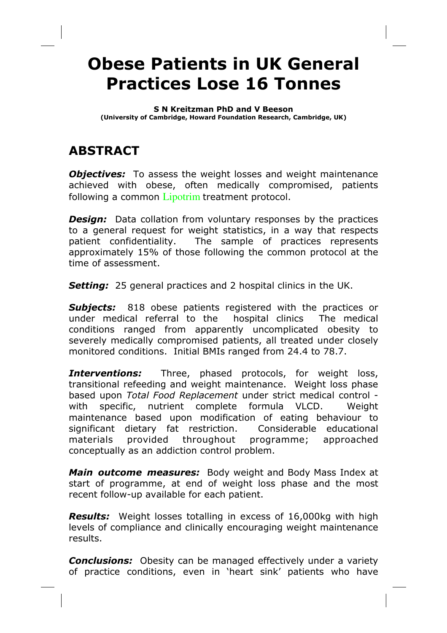# Obese Patients in UK General Practices Lose 16 Tonnes

#### S N Kreitzman PhD and V Beeson

(University of Cambridge, Howard Foundation Research, Cambridge, UK)

# ABSTRACT

**Objectives:** To assess the weight losses and weight maintenance achieved with obese, often medically compromised, patients following a common Lipotrim treatment protocol.

**Design:** Data collation from voluntary responses by the practices to a general request for weight statistics, in a way that respects patient confidentiality. The sample of practices represents approximately 15% of those following the common protocol at the time of assessment.

Setting: 25 general practices and 2 hospital clinics in the UK.

**Subjects:** 818 obese patients registered with the practices or under medical referral to the hospital clinics The medical conditions ranged from apparently uncomplicated obesity to severely medically compromised patients, all treated under closely monitored conditions. Initial BMIs ranged from 24.4 to 78.7.

**Interventions:** Three, phased protocols, for weight loss, transitional refeeding and weight maintenance. Weight loss phase based upon Total Food Replacement under strict medical control with specific, nutrient complete formula VLCD. Weight maintenance based upon modification of eating behaviour to significant dietary fat restriction. Considerable educational materials provided throughout programme; approached conceptually as an addiction control problem.

Main outcome measures: Body weight and Body Mass Index at start of programme, at end of weight loss phase and the most recent follow-up available for each patient.

**Results:** Weight losses totalling in excess of 16,000kg with high levels of compliance and clinically encouraging weight maintenance results.

**Conclusions:** Obesity can be managed effectively under a variety of practice conditions, even in 'heart sink' patients who have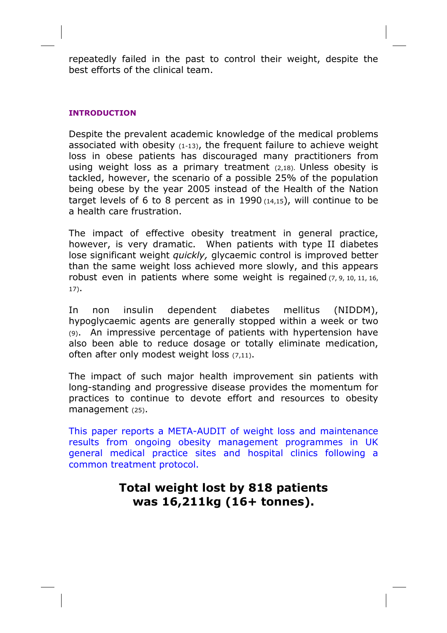repeatedly failed in the past to control their weight, despite the best efforts of the clinical team.

## INTRODUCTION

Despite the prevalent academic knowledge of the medical problems associated with obesity (1-13), the frequent failure to achieve weight loss in obese patients has discouraged many practitioners from using weight loss as a primary treatment (2,18). Unless obesity is tackled, however, the scenario of a possible 25% of the population being obese by the year 2005 instead of the Health of the Nation target levels of 6 to 8 percent as in 1990  $(14,15)$ , will continue to be a health care frustration.

The impact of effective obesity treatment in general practice, however, is very dramatic. When patients with type II diabetes lose significant weight quickly, glycaemic control is improved better than the same weight loss achieved more slowly, and this appears robust even in patients where some weight is regained (7, 9, 10, 11, 16, 17).

In non insulin dependent diabetes mellitus (NIDDM), hypoglycaemic agents are generally stopped within a week or two (9). An impressive percentage of patients with hypertension have also been able to reduce dosage or totally eliminate medication, often after only modest weight loss (7,11).

The impact of such major health improvement sin patients with long-standing and progressive disease provides the momentum for practices to continue to devote effort and resources to obesity management (25).

This paper reports a META-AUDIT of weight loss and maintenance results from ongoing obesity management programmes in UK general medical practice sites and hospital clinics following a common treatment protocol.

# Total weight lost by 818 patients was 16,211kg (16+ tonnes).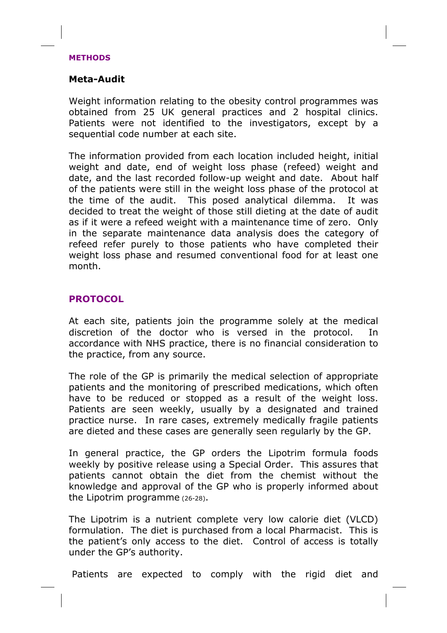#### METHODS

# Meta-Audit

Weight information relating to the obesity control programmes was obtained from 25 UK general practices and 2 hospital clinics. Patients were not identified to the investigators, except by a sequential code number at each site.

The information provided from each location included height, initial weight and date, end of weight loss phase (refeed) weight and date, and the last recorded follow-up weight and date. About half of the patients were still in the weight loss phase of the protocol at the time of the audit. This posed analytical dilemma. It was decided to treat the weight of those still dieting at the date of audit as if it were a refeed weight with a maintenance time of zero. Only in the separate maintenance data analysis does the category of refeed refer purely to those patients who have completed their weight loss phase and resumed conventional food for at least one month.

# PROTOCOL

At each site, patients join the programme solely at the medical discretion of the doctor who is versed in the protocol. In accordance with NHS practice, there is no financial consideration to the practice, from any source.

The role of the GP is primarily the medical selection of appropriate patients and the monitoring of prescribed medications, which often have to be reduced or stopped as a result of the weight loss. Patients are seen weekly, usually by a designated and trained practice nurse. In rare cases, extremely medically fragile patients are dieted and these cases are generally seen regularly by the GP.

In general practice, the GP orders the Lipotrim formula foods weekly by positive release using a Special Order. This assures that patients cannot obtain the diet from the chemist without the knowledge and approval of the GP who is properly informed about the Lipotrim programme (26-28).

The Lipotrim is a nutrient complete very low calorie diet (VLCD) formulation. The diet is purchased from a local Pharmacist. This is the patient's only access to the diet. Control of access is totally under the GP's authority.

Patients are expected to comply with the rigid diet and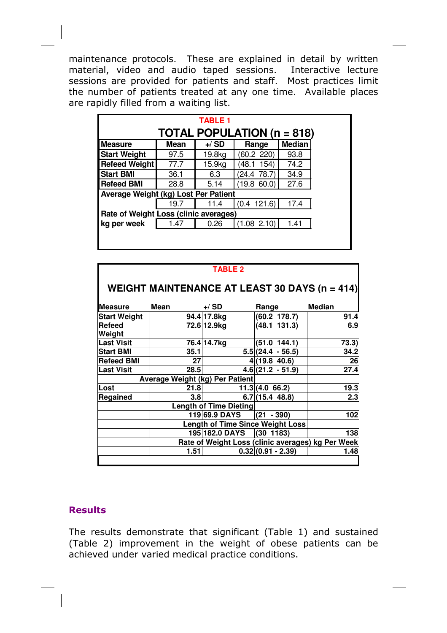maintenance protocols. These are explained in detail by written material, video and audio taped sessions. Interactive lecture sessions are provided for patients and staff. Most practices limit the number of patients treated at any one time. Available places are rapidly filled from a waiting list.

|                                       |                                                  | <b>TABLE 1</b> |              |      |  |  |
|---------------------------------------|--------------------------------------------------|----------------|--------------|------|--|--|
| <b>TOTAL POPULATION (n = 818)</b>     |                                                  |                |              |      |  |  |
| <b>Measure</b>                        | <b>Median</b><br>$+$ /SD<br><b>Mean</b><br>Range |                |              |      |  |  |
| <b>Start Weight</b>                   | 97.5                                             | 19.8kg         | (60.2 220)   | 93.8 |  |  |
| <b>Refeed Weight</b>                  | 77.7                                             | 15.9kg         | 154)<br>48.1 | 74.2 |  |  |
| <b>Start BMI</b>                      | 36.1                                             | 6.3            | (24.4 78.7)  | 34.9 |  |  |
| <b>Refeed BMI</b>                     | 28.8                                             | 5.14           | (19.8 60.0)  | 27.6 |  |  |
| Average Weight (kg) Lost Per Patient  |                                                  |                |              |      |  |  |
|                                       | 19.7                                             | 11.4           | (0.4 121.6)  | 17.4 |  |  |
| Rate of Weight Loss (clinic averages) |                                                  |                |              |      |  |  |
| kg per week                           | 1.47                                             | 0.26           | (1.08 2.10)  | 1.41 |  |  |
|                                       |                                                  |                |              |      |  |  |

| <b>TABLE 2</b>                                       |                                 |               |                     |               |  |
|------------------------------------------------------|---------------------------------|---------------|---------------------|---------------|--|
| <b>WEIGHT MAINTENANCE AT LEAST 30 DAYS (n = 414)</b> |                                 |               |                     |               |  |
| <b>I</b> Measure                                     | Mean                            | $+$ / SD      | Range               | <b>Median</b> |  |
| <b>Start Weight</b>                                  |                                 | 94.4 17.8kg   | (60.2 178.7)        | 91.4          |  |
| Refeed<br>Weight                                     |                                 | 72.6 12.9kg   | (48.1 131.3)        | 6.9           |  |
| <b>Last Visit</b>                                    |                                 | 76.4 14.7kg   | (51.0 144.1)        | 73.3)         |  |
| <b>Start BMI</b>                                     | 35.1                            |               | $5.5(24.4 - 56.5)$  | 34.2          |  |
| <b>Refeed BMI</b>                                    | 27                              |               | 4(19.8 40.6)        | 26            |  |
| <b>Last Visit</b>                                    | 28.5                            |               | $4.6(21.2 - 51.9)$  | 27.4          |  |
|                                                      | Average Weight (kg) Per Patient |               |                     |               |  |
| Lost                                                 | 21.8                            |               | 11.3(4.066.2)       | 19.3          |  |
| Regained                                             | 3.8 <sub>1</sub>                |               | 6.7(15.448.8)       | 2.3           |  |
| <b>Length of Time Dieting</b>                        |                                 |               |                     |               |  |
|                                                      |                                 | 119 69.9 DAYS | $(21 - 390)$        | 102           |  |
| <b>Length of Time Since Weight Loss</b>              |                                 |               |                     |               |  |
| 195 182.0 DAYS<br>(30 1183)<br>138                   |                                 |               |                     |               |  |
| Rate of Weight Loss (clinic averages) kg Per Week    |                                 |               |                     |               |  |
|                                                      | 1.51                            |               | $0.32(0.91 - 2.39)$ | 1.48          |  |
|                                                      |                                 |               |                     |               |  |

# **Results**

The results demonstrate that significant (Table 1) and sustained (Table 2) improvement in the weight of obese patients can be achieved under varied medical practice conditions.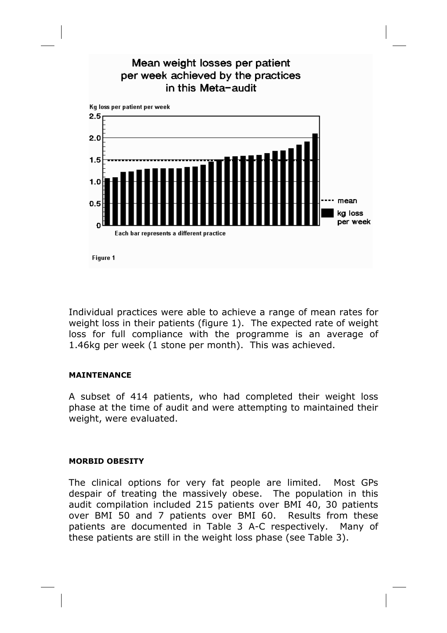

Individual practices were able to achieve a range of mean rates for weight loss in their patients (figure 1). The expected rate of weight loss for full compliance with the programme is an average of 1.46kg per week (1 stone per month). This was achieved.

### MAINTENANCE

A subset of 414 patients, who had completed their weight loss phase at the time of audit and were attempting to maintained their weight, were evaluated.

### MORBID OBESITY

The clinical options for very fat people are limited. Most GPs despair of treating the massively obese. The population in this audit compilation included 215 patients over BMI 40, 30 patients over BMI 50 and 7 patients over BMI 60. Results from these patients are documented in Table 3 A-C respectively. Many of these patients are still in the weight loss phase (see Table 3).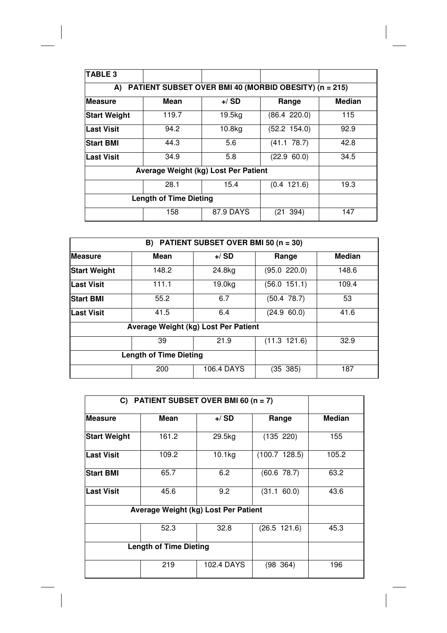| TABLE <sub>3</sub>                                          |       |           |                 |               |  |
|-------------------------------------------------------------|-------|-----------|-----------------|---------------|--|
| PATIENT SUBSET OVER BMI 40 (MORBID OBESITY) (n = 215)<br>A) |       |           |                 |               |  |
| <b>Measure</b>                                              | Mean  | $+$ / SD  | Range           | <b>Median</b> |  |
| <b>Start Weight</b>                                         | 119.7 | 19.5kg    | (86.4 220.0)    | 115           |  |
| Last Visit                                                  | 94.2  | 10.8kg    | (52.2 154.0)    | 92.9          |  |
| <b>Start BMI</b>                                            | 44.3  | 5.6       | (41.1 78.7)     | 42.8          |  |
| Last Visit                                                  | 34.9  | 5.8       | (22.9 60.0)     | 34.5          |  |
| Average Weight (kg) Lost Per Patient                        |       |           |                 |               |  |
|                                                             | 28.1  | 15.4      | $(0.4 \t121.6)$ | 19.3          |  |
| <b>Length of Time Dieting</b>                               |       |           |                 |               |  |
|                                                             | 158   | 87.9 DAYS | 394)<br>(21–    | 147           |  |

| B) PATIENT SUBSET OVER BMI 50 $(n = 30)$ |                               |                   |                  |               |
|------------------------------------------|-------------------------------|-------------------|------------------|---------------|
| <b>Measure</b>                           | Mean                          | $+$ /SD           | Range            | <b>Median</b> |
| <b>Start Weight</b>                      | 148.2                         | 24.8kg            | (95.0 220.0)     | 148.6         |
| <b>Last Visit</b>                        | 111.1                         | 19.0kg            | (56.0 151.1)     | 109.4         |
| <b>Start BMI</b>                         | 55.2                          | 6.7               | $(50.4 \t78.7)$  | 53            |
| <b>Last Visit</b>                        | 41.5                          | 6.4               | (24.9 60.0)      | 41.6          |
| Average Weight (kg) Lost Per Patient     |                               |                   |                  |               |
|                                          | 39                            | 21.9              | $(11.3 \t121.6)$ | 32.9          |
|                                          | <b>Length of Time Dieting</b> |                   |                  |               |
|                                          | 200                           | <b>106.4 DAYS</b> | (35 385)         | 187           |

| PATIENT SUBSET OVER BMI 60 (n = 7)<br>C) |                                      |                    |               |               |
|------------------------------------------|--------------------------------------|--------------------|---------------|---------------|
| <b>Measure</b>                           | Mean                                 | $+$ / SD           | Range         | <b>Median</b> |
| <b>Start Weight</b>                      | 161.2                                | 29.5kg             | (135 220)     | 155           |
| <b>Last Visit</b>                        | 109.2                                | 10.1 <sub>kg</sub> | (100.7 128.5) | 105.2         |
| <b>Start BMI</b>                         | 65.7                                 | 6.2                | (60.6 78.7)   | 63.2          |
| <b>Last Visit</b>                        | 45.6                                 | 9.2                | (31.1 60.0)   | 43.6          |
|                                          | Average Weight (kg) Lost Per Patient |                    |               |               |
|                                          | 52.3                                 | 32.8               | (26.5 121.6)  | 45.3          |
| <b>Length of Time Dieting</b>            |                                      |                    |               |               |
|                                          | 219                                  | 102.4 DAYS         | (98, 364)     | 196           |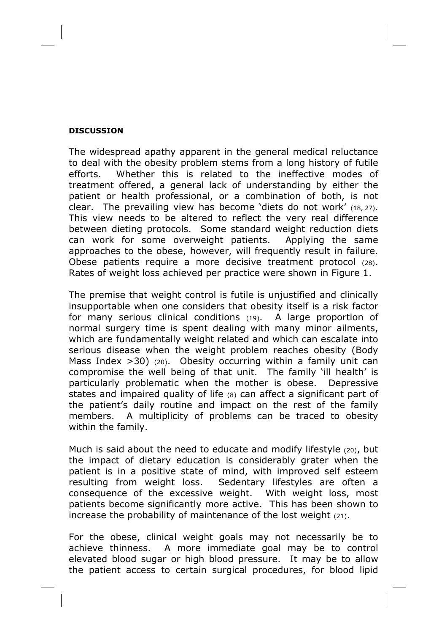#### **DISCUSSION**

The widespread apathy apparent in the general medical reluctance to deal with the obesity problem stems from a long history of futile efforts. Whether this is related to the ineffective modes of treatment offered, a general lack of understanding by either the patient or health professional, or a combination of both, is not clear. The prevailing view has become 'diets do not work' (18, 27). This view needs to be altered to reflect the very real difference between dieting protocols. Some standard weight reduction diets can work for some overweight patients. Applying the same approaches to the obese, however, will frequently result in failure. Obese patients require a more decisive treatment protocol (28). Rates of weight loss achieved per practice were shown in Figure 1.

The premise that weight control is futile is unjustified and clinically insupportable when one considers that obesity itself is a risk factor for many serious clinical conditions (19). A large proportion of normal surgery time is spent dealing with many minor ailments, which are fundamentally weight related and which can escalate into serious disease when the weight problem reaches obesity (Body Mass Index  $>$ 30) (20). Obesity occurring within a family unit can compromise the well being of that unit. The family 'ill health' is particularly problematic when the mother is obese. Depressive states and impaired quality of life (8) can affect a significant part of the patient's daily routine and impact on the rest of the family members. A multiplicity of problems can be traced to obesity within the family.

Much is said about the need to educate and modify lifestyle (20), but the impact of dietary education is considerably grater when the patient is in a positive state of mind, with improved self esteem resulting from weight loss. Sedentary lifestyles are often a consequence of the excessive weight. With weight loss, most patients become significantly more active. This has been shown to increase the probability of maintenance of the lost weight (21).

For the obese, clinical weight goals may not necessarily be to achieve thinness. A more immediate goal may be to control elevated blood sugar or high blood pressure. It may be to allow the patient access to certain surgical procedures, for blood lipid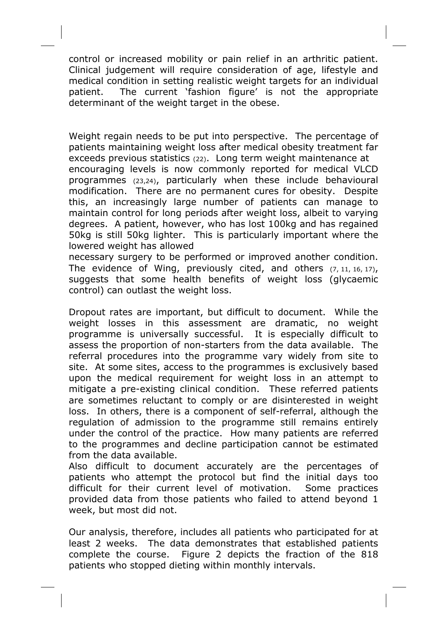control or increased mobility or pain relief in an arthritic patient. Clinical judgement will require consideration of age, lifestyle and medical condition in setting realistic weight targets for an individual patient. The current 'fashion figure' is not the appropriate determinant of the weight target in the obese.

Weight regain needs to be put into perspective. The percentage of patients maintaining weight loss after medical obesity treatment far exceeds previous statistics (22). Long term weight maintenance at encouraging levels is now commonly reported for medical VLCD programmes (23,24), particularly when these include behavioural modification. There are no permanent cures for obesity. Despite this, an increasingly large number of patients can manage to maintain control for long periods after weight loss, albeit to varying degrees. A patient, however, who has lost 100kg and has regained 50kg is still 50kg lighter. This is particularly important where the lowered weight has allowed

necessary surgery to be performed or improved another condition. The evidence of Wing, previously cited, and others  $(7, 11, 16, 17)$ , suggests that some health benefits of weight loss (glycaemic control) can outlast the weight loss.

Dropout rates are important, but difficult to document. While the weight losses in this assessment are dramatic, no weight programme is universally successful. It is especially difficult to assess the proportion of non-starters from the data available. The referral procedures into the programme vary widely from site to site. At some sites, access to the programmes is exclusively based upon the medical requirement for weight loss in an attempt to mitigate a pre-existing clinical condition. These referred patients are sometimes reluctant to comply or are disinterested in weight loss. In others, there is a component of self-referral, although the regulation of admission to the programme still remains entirely under the control of the practice. How many patients are referred to the programmes and decline participation cannot be estimated from the data available.

Also difficult to document accurately are the percentages of patients who attempt the protocol but find the initial days too difficult for their current level of motivation. Some practices provided data from those patients who failed to attend beyond 1 week, but most did not.

Our analysis, therefore, includes all patients who participated for at least 2 weeks. The data demonstrates that established patients complete the course. Figure 2 depicts the fraction of the 818 patients who stopped dieting within monthly intervals.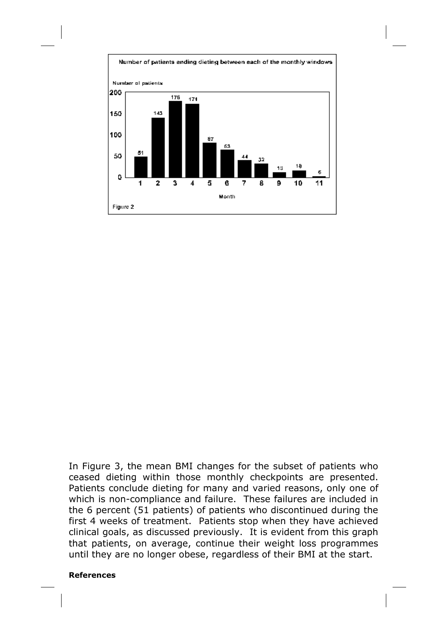

In Figure 3, the mean BMI changes for the subset of patients who ceased dieting within those monthly checkpoints are presented. Patients conclude dieting for many and varied reasons, only one of which is non-compliance and failure. These failures are included in the 6 percent (51 patients) of patients who discontinued during the first 4 weeks of treatment. Patients stop when they have achieved clinical goals, as discussed previously. It is evident from this graph that patients, on average, continue their weight loss programmes until they are no longer obese, regardless of their BMI at the start.

#### References